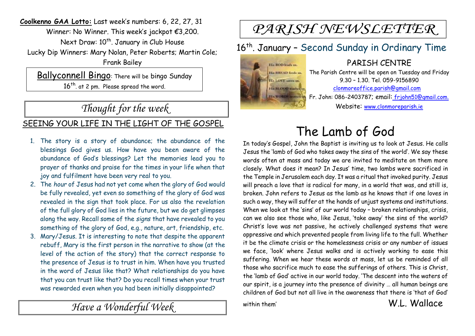**Coolkenno GAA Lotto:** Last week's numbers: 6, 22, 27, 31 Winner: No Winner. This week's jackpot €3,200. Next Draw: 10<sup>th</sup>. January in Club House Lucky Dip Winners: Mary Nolan, Peter Roberts; Martin Cole; Frank Bailey

Ballyconnell Bingo: There will be bingo Sunday 16<sup>th</sup>. at 2 pm. Please spread the word.

## *Thought for the week*

#### SEEING YOUR LIFE IN THE LIGHT OF THE GOSPEL

- 1. The story is a story of abundance; the abundance of the blessings God gives us. How have you been aware of the abundance of God's blessings? Let the memories lead you to prayer of thanks and praise for the times in your life when that joy and fulfilment have been very real to you.
- 2. The *hour* of Jesus had not yet come when the glory of God would be fully revealed, yet even so something of the glory of God was revealed in the sign that took place. For us also the revelation of the full glory of God lies in the future, but we do get glimpses along the way. Recall some of the *signs* that have revealed to you something of the glory of God, e.g., nature, art, friendship, etc.
- 3. Mary/Jesus. It is interesting to note that despite the apparent rebuff, Mary is the first person in the narrative to show (at the level of the action of the story) that the correct response to the presence of Jesus is to trust in him. When have you trusted in the word of Jesus like that? What relationships do you have that you can trust like that? Do you recall times when your trust was rewarded even when you had been initially disappointed?

*Have a Wonderful Week* 

# PARISH NEWSLETTER

## 16<sup>th</sup>. January - Second Sunday in Ordinary Time



PARISH CENTRE The Parish Centre will be open on Tuesday and Friday 9.30 – 1.30. Tel. 059-9156890 clonmoreoffice.parish@gmail.com Fr. John: 086-2403787; email: frjohn51@gmail.com. Website: www.clonmoreparish.ie

# The Lamb of God

In today's Gospel, John the Baptist is inviting us to look at Jesus. He calls Jesus the 'lamb of God who takes away the sins of the world'. We say these words often at mass and today we are invited to meditate on them more closely. What does it mean? In Jesus' time, two lambs were sacrificed in the Temple in Jerusalem each day. It was a ritual that invoked purity. Jesus will preach a love that is radical for many, in a world that was, and still is, broken. John refers to Jesus as the lamb as he knows that if one loves in such a way, they will suffer at the hands of unjust systems and institutions. When we look at the 'sins' of our world today - broken relationships, crisis, can we also see those who, like Jesus, 'take away' the sins of the world? Christ's love was not passive, he actively challenged systems that were oppressive and which prevented people from living life to the full. Whether it be the climate crisis or the homelessness crisis or any number of issues we face, 'look' where Jesus walks and is actively working to ease this suffering. When we hear these words at mass, let us be reminded of all those who sacrifice much to ease the sufferings of others. This is Christ, the 'lamb of God' active in our world today. 'The descent into the waters of our spirit, is a journey into the presence of divinity … all human beings are children of God but not all live in the awareness that there is 'that of God'

within them' W.L. Wallace